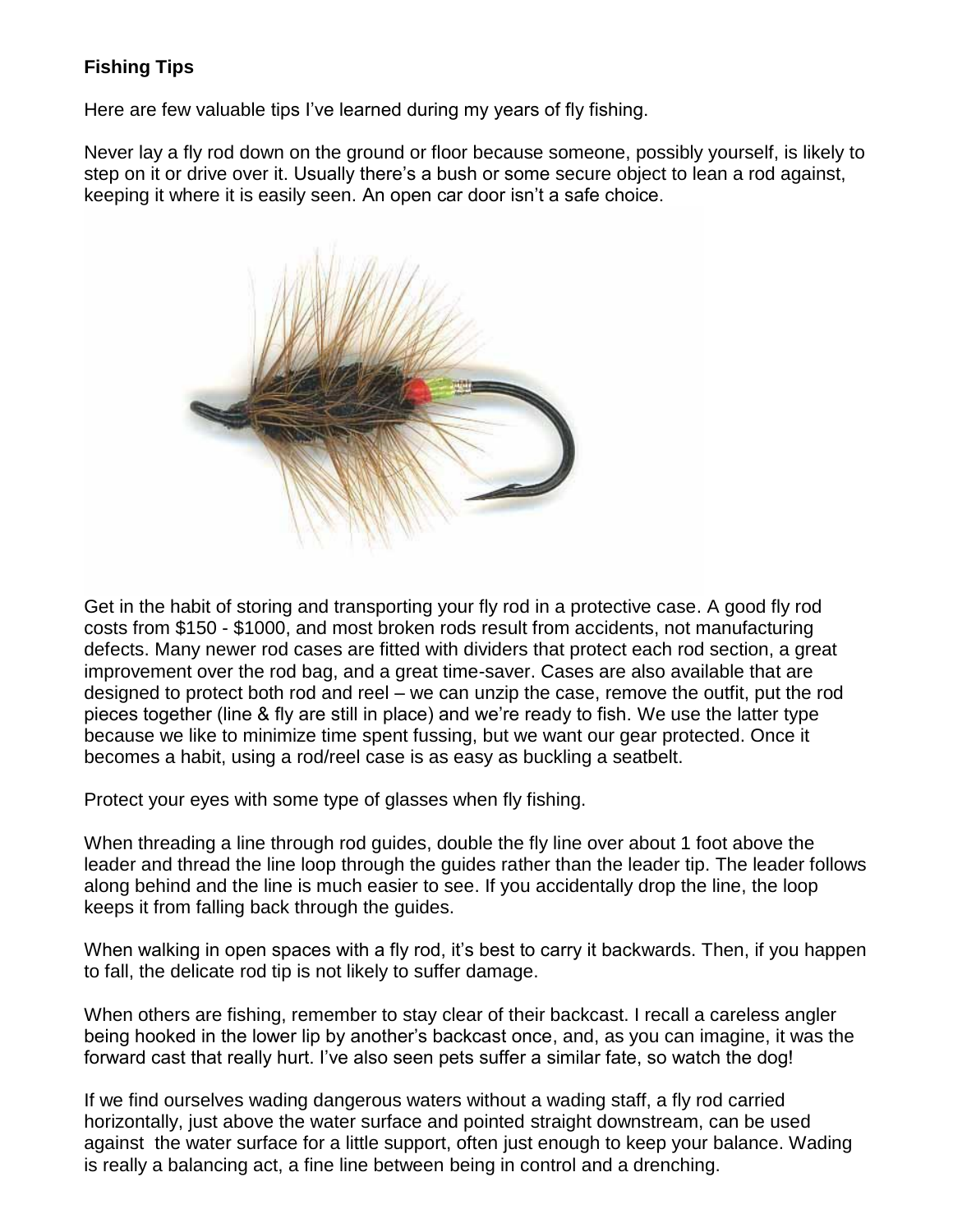## **Fishing Tips**

Here are few valuable tips I've learned during my years of fly fishing.

Never lay a fly rod down on the ground or floor because someone, possibly yourself, is likely to step on it or drive over it. Usually there's a bush or some secure object to lean a rod against, keeping it where it is easily seen. An open car door isn't a safe choice.



Get in the habit of storing and transporting your fly rod in a protective case. A good fly rod costs from \$150 - \$1000, and most broken rods result from accidents, not manufacturing defects. Many newer rod cases are fitted with dividers that protect each rod section, a great improvement over the rod bag, and a great time-saver. Cases are also available that are designed to protect both rod and reel – we can unzip the case, remove the outfit, put the rod pieces together (line & fly are still in place) and we're ready to fish. We use the latter type because we like to minimize time spent fussing, but we want our gear protected. Once it becomes a habit, using a rod/reel case is as easy as buckling a seatbelt.

Protect your eyes with some type of glasses when fly fishing.

When threading a line through rod guides, double the fly line over about 1 foot above the leader and thread the line loop through the guides rather than the leader tip. The leader follows along behind and the line is much easier to see. If you accidentally drop the line, the loop keeps it from falling back through the guides.

When walking in open spaces with a fly rod, it's best to carry it backwards. Then, if you happen to fall, the delicate rod tip is not likely to suffer damage.

When others are fishing, remember to stay clear of their backcast. I recall a careless angler being hooked in the lower lip by another's backcast once, and, as you can imagine, it was the forward cast that really hurt. I've also seen pets suffer a similar fate, so watch the dog!

If we find ourselves wading dangerous waters without a wading staff, a fly rod carried horizontally, just above the water surface and pointed straight downstream, can be used against the water surface for a little support, often just enough to keep your balance. Wading is really a balancing act, a fine line between being in control and a drenching.